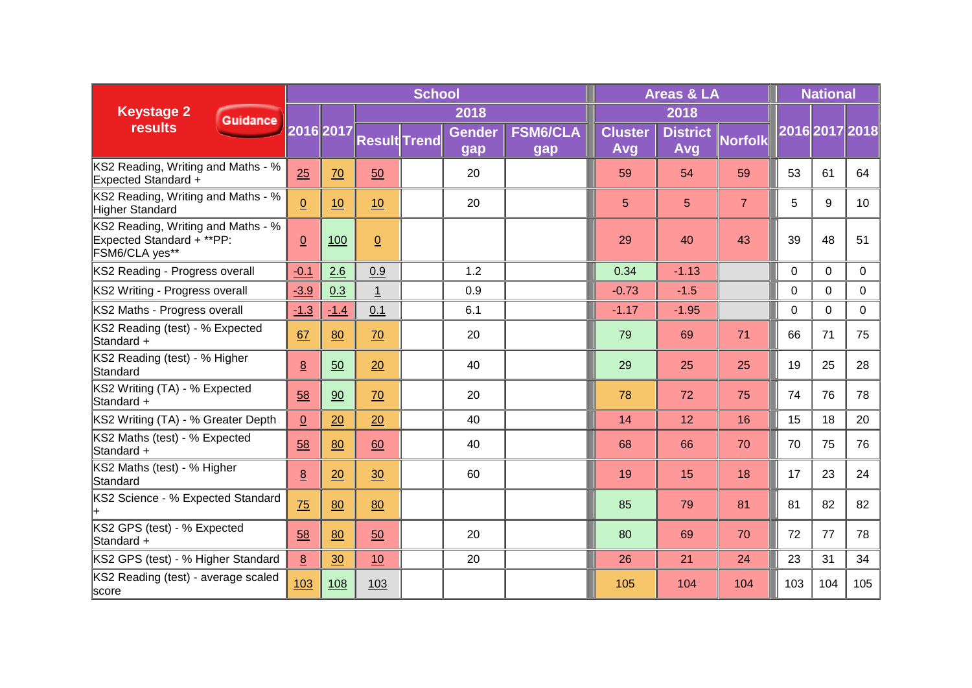|                                                                                   | <b>School</b>   |           |                     |  |                      |                        |  |                       | <b>Areas &amp; LA</b>  | <b>National</b> |             |                |                 |
|-----------------------------------------------------------------------------------|-----------------|-----------|---------------------|--|----------------------|------------------------|--|-----------------------|------------------------|-----------------|-------------|----------------|-----------------|
| <b>Keystage 2</b><br><b>Guidance</b>                                              |                 | 2016 2017 | 2018                |  |                      |                        |  |                       | 2018                   |                 |             |                |                 |
| <b>results</b>                                                                    |                 |           | <b>Result Trend</b> |  | <b>Gender</b><br>gap | <b>FSM6/CLA</b><br>gap |  | <b>Cluster</b><br>Avg | <b>District</b><br>Avg | <b>Norfolk</b>  |             | 2016 2017 2018 |                 |
| KS2 Reading, Writing and Maths - %<br><b>Expected Standard +</b>                  | 25              | 70        | 50                  |  | 20                   |                        |  | 59                    | 54                     | 59              | 53          | 61             | 64              |
| KS2 Reading, Writing and Maths - %<br><b>Higher Standard</b>                      | $\overline{0}$  | 10        | 10                  |  | 20                   |                        |  | 5                     | 5                      | $\overline{7}$  | 5           | 9              | 10 <sup>°</sup> |
| KS2 Reading, Writing and Maths - %<br>Expected Standard + **PP:<br>FSM6/CLA yes** | $\overline{0}$  | 100       | $\Omega$            |  |                      |                        |  | 29                    | 40                     | 43              | 39          | 48             | 51              |
| KS2 Reading - Progress overall                                                    | $-0.1$          | 2.6       | 0.9                 |  | 1.2                  |                        |  | 0.34                  | $-1.13$                |                 | 0           | 0              | 0               |
| KS2 Writing - Progress overall                                                    | $-3.9$          | 0.3       | $\overline{1}$      |  | 0.9                  |                        |  | $-0.73$               | $-1.5$                 |                 | $\mathbf 0$ | $\Omega$       | $\Omega$        |
| KS2 Maths - Progress overall                                                      | $-1.3$          | $-1.4$    | 0.1                 |  | 6.1                  |                        |  | $-1.17$               | $-1.95$                |                 | $\mathbf 0$ | $\mathbf 0$    | 0               |
| KS2 Reading (test) - % Expected<br>Standard +                                     | 67              | 80        | 70                  |  | 20                   |                        |  | 79                    | 69                     | 71              | 66          | 71             | 75              |
| KS2 Reading (test) - % Higher<br>Standard                                         | 8               | 50        | 20                  |  | 40                   |                        |  | 29                    | 25                     | 25              | 19          | 25             | 28              |
| KS2 Writing (TA) - % Expected<br>Standard +                                       | 58              | 90        | 70                  |  | 20                   |                        |  | 78                    | 72                     | 75              | 74          | 76             | 78              |
| KS2 Writing (TA) - % Greater Depth                                                | $\underline{0}$ | 20        | 20                  |  | 40                   |                        |  | 14                    | 12                     | 16              | 15          | 18             | 20              |
| KS2 Maths (test) - % Expected<br>Standard +                                       | 58              | 80        | 60                  |  | 40                   |                        |  | 68                    | 66                     | 70              | 70          | 75             | 76              |
| KS2 Maths (test) - % Higher<br>Standard                                           | $\underline{8}$ | 20        | 30                  |  | 60                   |                        |  | 19                    | 15                     | 18              | 17          | 23             | 24              |
| KS2 Science - % Expected Standard                                                 | 75              | 80        | 80                  |  |                      |                        |  | 85                    | 79                     | 81              | 81          | 82             | 82              |
| KS2 GPS (test) - % Expected<br>Standard +                                         | 58              | 80        | 50                  |  | 20                   |                        |  | 80                    | 69                     | 70              | 72          | 77             | 78              |
| KS2 GPS (test) - % Higher Standard                                                | 8               | 30        | 10                  |  | 20                   |                        |  | 26                    | 21                     | 24              | 23          | 31             | 34              |
| KS2 Reading (test) - average scaled<br>score                                      | 103             | 108       | 103                 |  |                      |                        |  | 105                   | 104                    | 104             | 103         | 104            | 105             |